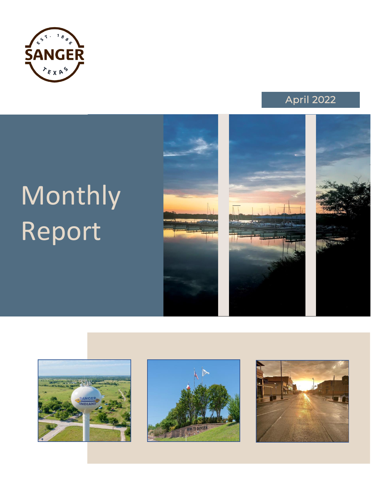



# Monthly Report









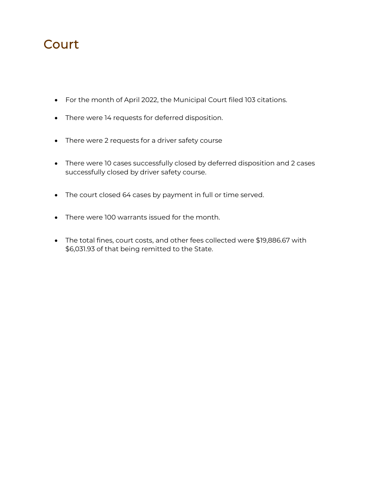### **Court**

- For the month of April 2022, the Municipal Court filed 103 citations.
- There were 14 requests for deferred disposition.
- There were 2 requests for a driver safety course
- There were 10 cases successfully closed by deferred disposition and 2 cases successfully closed by driver safety course.
- The court closed 64 cases by payment in full or time served.
- There were 100 warrants issued for the month.
- The total fines, court costs, and other fees collected were \$19,886.67 with \$6,031.93 of that being remitted to the State.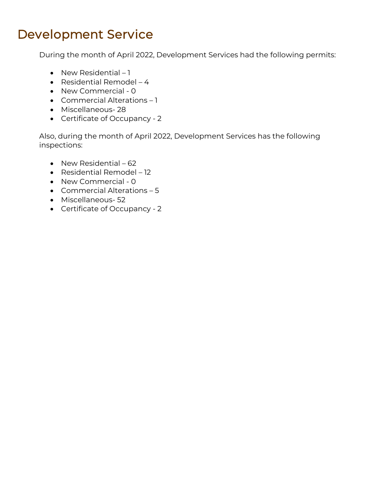### *Development Service*

*During the month of April 2022, Development Services had the following permits:*

- *New Residential – 1*
- *Residential Remodel – 4*
- *New Commercial - 0*
- *Commercial Alterations – 1*
- *Miscellaneous- 28*
- *Certificate of Occupancy - 2*

*Also, during the month of April 2022, Development Services has the following inspections:*

- *New Residential – 62*
- *Residential Remodel – 12*
- *New Commercial - 0*
- *Commercial Alterations – 5*
- *Miscellaneous- 52*
- *Certificate of Occupancy - 2*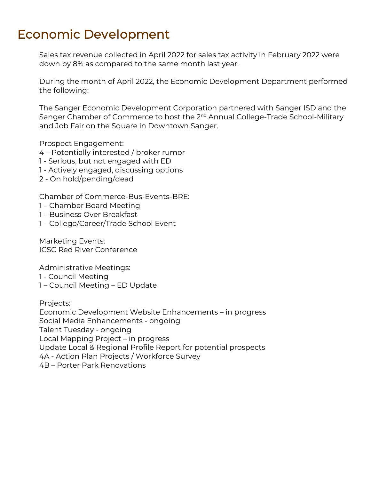### *Economic Development*

*Sales tax revenue collected in April 2022 for sales tax activity in February 2022 were down by 8% as compared to the same month last year.* 

*During the month of April 2022, the Economic Development Department performed the following:*

*The Sanger Economic Development Corporation partnered with Sanger ISD and the Sanger Chamber of Commerce to host the 2nd Annual College-Trade School-Military and Job Fair on the Square in Downtown Sanger.*

*Prospect Engagement:*

*4 – Potentially interested / broker rumor*

- *1 - Serious, but not engaged with ED*
- *1 - Actively engaged, discussing options*
- *2 - On hold/pending/dead*

*Chamber of Commerce-Bus-Events-BRE:*

- *1 – Chamber Board Meeting*
- *1 – Business Over Breakfast*
- *1 – College/Career/Trade School Event*

*Marketing Events: ICSC Red River Conference*

*Administrative Meetings:*

- *1 - Council Meeting*
- *1 – Council Meeting – ED Update*

*Projects: Economic Development Website Enhancements – in progress Social Media Enhancements - ongoing Talent Tuesday - ongoing Local Mapping Project – in progress Update Local & Regional Profile Report for potential prospects 4A - Action Plan Projects / Workforce Survey 4B – Porter Park Renovations*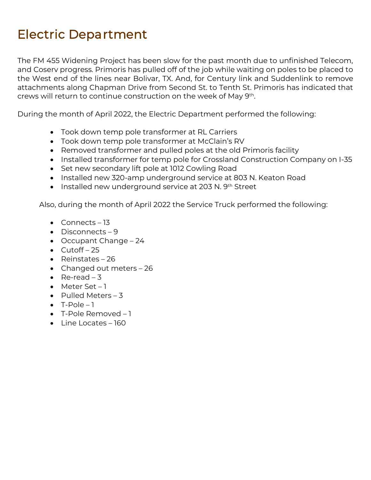### *Electric Department*

*The FM 455 Widening Project has been slow for the past month due to unfinished Telecom,*  and Coserv progress. Primoris has pulled off of the job while waiting on poles to be placed to *the West end of the lines near Bolivar, TX. And, for Century link and Suddenlink to remove attachments along Chapman Drive from Second St. to Tenth St. Primoris has indicated that crews will return to continue construction on the week of May 9th .*

*During the month of April 2022, the Electric Department performed the following:*

- *Took down temp pole transformer at RL Carriers*
- *Took down temp pole transformer at McClain's RV*
- *Removed transformer and pulled poles at the old Primoris facility*
- *Installed transformer for temp pole for Crossland Construction Company on I-35*
- *Set new secondary lift pole at 1012 Cowling Road*
- *Installed new 320-amp underground service at 803 N. Keaton Road*
- *Installed new underground service at 203 N. 9th Street*

*Also, during the month of April 2022 the Service Truck performed the following:*

- *Connects – 13*
- *Disconnects – 9*
- *Occupant Change – 24*
- *Cutoff – 25*
- *Reinstates – 26*
- *Changed out meters – 26*
- *Re-read – 3*
- Meter Set 1
- *Pulled Meters – 3*
- $\bullet$   $T-Pole-1$
- *T-Pole Removed – 1*
- *Line Locates – 160*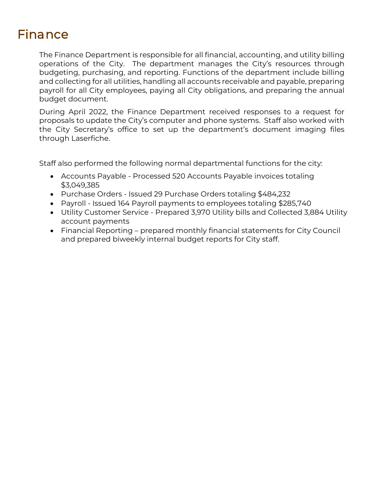### *Finance*

*The Finance Department is responsible for all financial, accounting, and utility billing operations of the City. The department manages the City's resources through budgeting, purchasing, and reporting. Functions of the department include billing*  and collecting for all utilities, handling all accounts receivable and payable, preparing payroll for all City employees, paying all City obligations, and preparing the annual *budget document.* 

*During April 2022, the Finance Department received responses to a request for proposals to update the City's computer and phone systems. Staff also worked with the City Secretary's office to set up the department's document imaging files through Laserfiche.*

*Staff also performed the following normal departmental functions for the city:*

- *Accounts Payable - Processed 520 Accounts Payable invoices totaling \$3,049,385*
- *Purchase Orders - Issued 29 Purchase Orders totaling \$484,232*
- *Payroll - Issued 164 Payroll payments to employees totaling \$285,740*
- *Utility Customer Service - Prepared 3,970 Utility bills and Collected 3,884 Utility account payments*
- *Financial Reporting – prepared monthly financial statements for City Council and prepared biweekly internal budget reports for City staff.*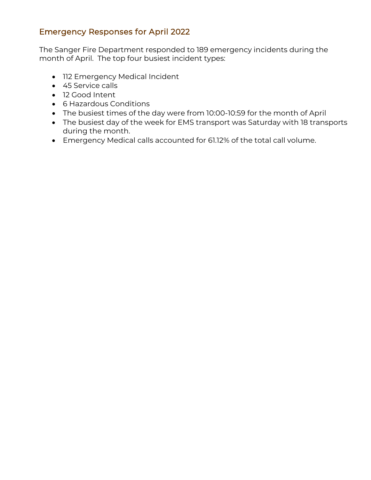### Emergency Responses for April 2022

The Sanger Fire Department responded to 189 emergency incidents during the month of April. The top four busiest incident types:

- 112 Emergency Medical Incident
- 45 Service calls
- 12 Good Intent
- 6 Hazardous Conditions
- The busiest times of the day were from 10:00-10:59 for the month of April
- The busiest day of the week for EMS transport was Saturday with 18 transports during the month.
- Emergency Medical calls accounted for 61.12% of the total call volume.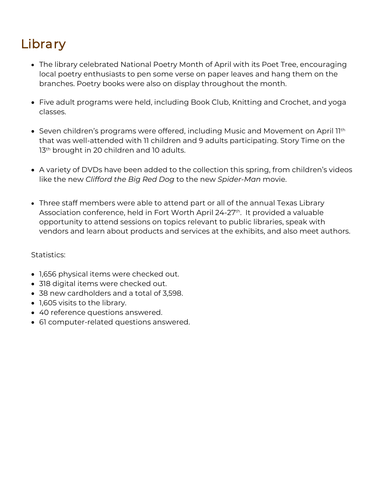## *Library*

- *The library celebrated National Poetry Month of April with its Poet Tree, encouraging*  local poetry enthusiasts to pen some verse on paper leaves and hang them on the *branches. Poetry books were also on display throughout the month.*
- *Five adult programs were held, including Book Club, Knitting and Crochet, and yoga classes.*
- Seven children's programs were offered, including Music and Movement on April 11<sup>th</sup> *that was well-attended with 11 children and 9 adults participating. Story Time on the 13th brought in 20 children and 10 adults.*
- *A variety of DVDs have been added to the collection this spring, from children's videos like the new Clifford the Big Red Dog to the new Spider-Man movie.*
- *Three staff members were able to attend part or all of the annual Texas Library Association conference, held in Fort Worth April 24-27th . It provided a valuable opportunity to attend sessions on topics relevant to public libraries, speak with vendors and learn about products and services at the exhibits, and also meet authors.*

*Statistics:*

- *1,656 physical items were checked out.*
- *318 digital items were checked out.*
- *38 new cardholders and a total of 3,598.*
- *1,605 visits to the library.*
- *40 reference questions answered.*
- *61 computer-related questions answered.*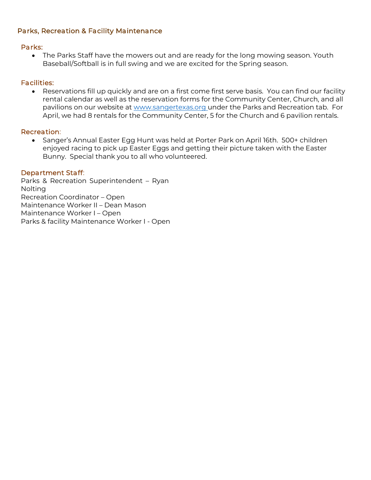#### *Parks, Recreation & Facility Maintenance*

#### *Parks:*

• *The Parks Staff have the mowers out and are ready for the long mowing season. Youth Baseball/Softball is in full swing and we are excited for the Spring season.* 

#### *Facilities:*

• *Reservations fill up quickly and are on a first come first serve basis. You can find our facility rental calendar as well as the reservation forms for the Community Center, Church, and all pavilions on our website at www.sangertexas.org under the Parks and Recreation tab. For April, we had 8 rentals for the Community Center, 5 for the Church and 6 pavilion rentals.*

#### *Recreation:*

• *Sanger's Annual Easter Egg Hunt was held at Porter Park on April 16th. 500+ children enjoyed racing to pick up Easter Eggs and getting their picture taken with the Easter Bunny. Special thank you to all who volunteered.* 

#### *Department Staff:*

*Parks & Recreation Superintendent – Ryan Nolting Recreation Coordinator – Open Maintenance Worker II – Dean Mason Maintenance Worker I – Open Parks & facility Maintenance Worker I - Open*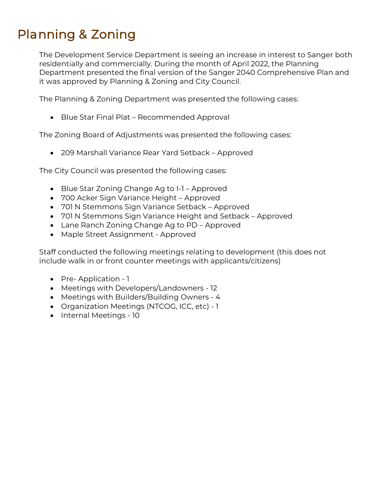### *Planning & Zoning*

*The Development Service Department is seeing an increase in interest to Sanger both residentially and commercially. During the month of April 2022, the Planning Department presented the final version of the Sanger 2040 Comprehensive Plan and it was approved by Planning & Zoning and City Council.*

*The Planning & Zoning Department was presented the following cases:*

• *Blue Star Final Plat – Recommended Approval*

*The Zoning Board of Adjustments was presented the following cases:*

• *209 Marshall Variance Rear Yard Setback – Approved*

*The City Council was presented the following cases:*

- *Blue Star Zoning Change Ag to I-1 – Approved*
- *700 Acker Sign Variance Height – Approved*
- *701 N Stemmons Sign Variance Setback – Approved*
- 701 N Stemmons Sign Variance Height and Setback Approved
- *Lane Ranch Zoning Change Ag to PD – Approved*
- *Maple Street Assignment - Approved*

*Staff conducted the following meetings relating to development (this does not include walk in or front counter meetings with applicants/citizens)*

- *Pre- Application - 1*
- *Meetings with Developers/Landowners - 12*
- *Meetings with Builders/Building Owners - 4*
- *Organization Meetings (NTCOG, ICC, etc) - 1*
- *Internal Meetings - 10*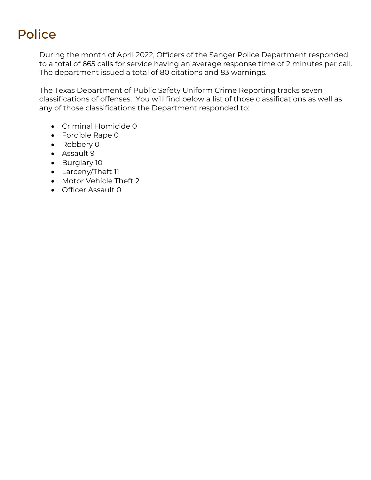### *Police*

*During the month of April 2022, Officers of the Sanger Police Department responded to a total of 665 calls for service having an average response time of 2 minutes per call. The department issued a total of 80 citations and 83 warnings.*

*The Texas Department of Public Safety Uniform Crime Reporting tracks seven classifications of offenses. You will find below a list of those classifications as well as any of those classifications the Department responded to:* 

- *Criminal Homicide 0*
- *Forcible Rape 0*
- *Robbery 0*
- *Assault 9*
- *Burglary 10*
- *Larceny/Theft 11*
- *Motor Vehicle Theft 2*
- *Officer Assault 0*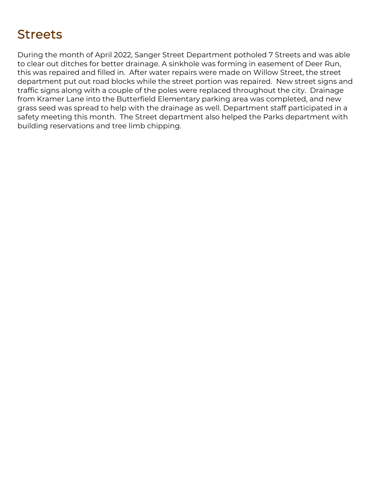### *Streets*

*During the month of April 2022, Sanger Street Department potholed 7 Streets and was able to clear out ditches for better drainage. A sinkhole was forming in easement of Deer Run,*  this was repaired and filled in. After water repairs were made on Willow Street, the street *department put out road blocks while the street portion was repaired. New street signs and traffic signs along with a couple of the poles were replaced throughout the city. Drainage from Kramer Lane into the Butterfield Elementary parking area was completed, and new grass seed was spread to help with the drainage as well. Department staff participated in a safety meeting this month. The Street department also helped the Parks department with building reservations and tree limb chipping.*